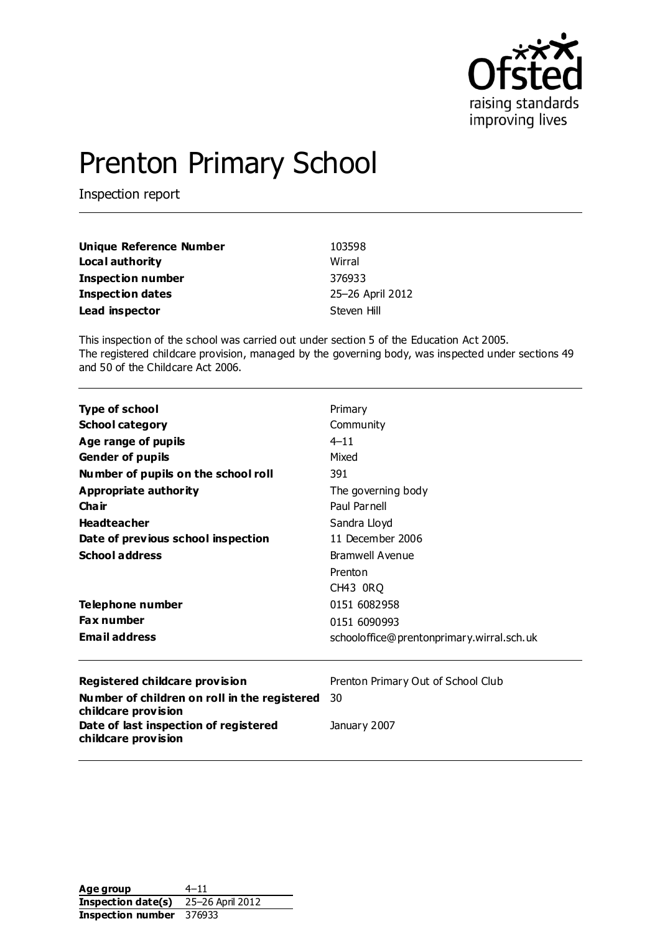

# Prenton Primary School

Inspection report

| Unique Reference Number  | 103598           |
|--------------------------|------------------|
| Local authority          | Wirral           |
| <b>Inspection number</b> | 376933           |
| <b>Inspection dates</b>  | 25-26 April 2012 |
| Lead inspector           | Steven Hill      |

This inspection of the school was carried out under section 5 of the Education Act 2005. The registered childcare provision, managed by the governing body, was inspected under sections 49 and 50 of the Childcare Act 2006.

| <b>Type of school</b>                                               | Primary                                   |  |  |
|---------------------------------------------------------------------|-------------------------------------------|--|--|
| <b>School category</b>                                              | Community                                 |  |  |
| Age range of pupils                                                 | $4 - 11$                                  |  |  |
| <b>Gender of pupils</b>                                             | Mixed                                     |  |  |
| Number of pupils on the school roll                                 | 391                                       |  |  |
| <b>Appropriate authority</b>                                        | The governing body                        |  |  |
| Cha ir                                                              | Paul Parnell<br>Sandra Lloyd              |  |  |
| <b>Headteacher</b>                                                  |                                           |  |  |
| Date of previous school inspection                                  | 11 December 2006                          |  |  |
| <b>School address</b>                                               | Bramwell Avenue                           |  |  |
|                                                                     | Prenton                                   |  |  |
|                                                                     | CH43 ORQ                                  |  |  |
| Telephone number                                                    | 0151 6082958                              |  |  |
| <b>Fax number</b>                                                   | 0151 6090993                              |  |  |
| <b>Email address</b>                                                | schooloffice@prentonprimary.wirral.sch.uk |  |  |
| Registered childcare provision                                      | Prenton Primary Out of School Club        |  |  |
| Number of children on roll in the registered<br>childcare provision | 30                                        |  |  |
| Date of last inspection of registered<br>childcare provision        | January 2007                              |  |  |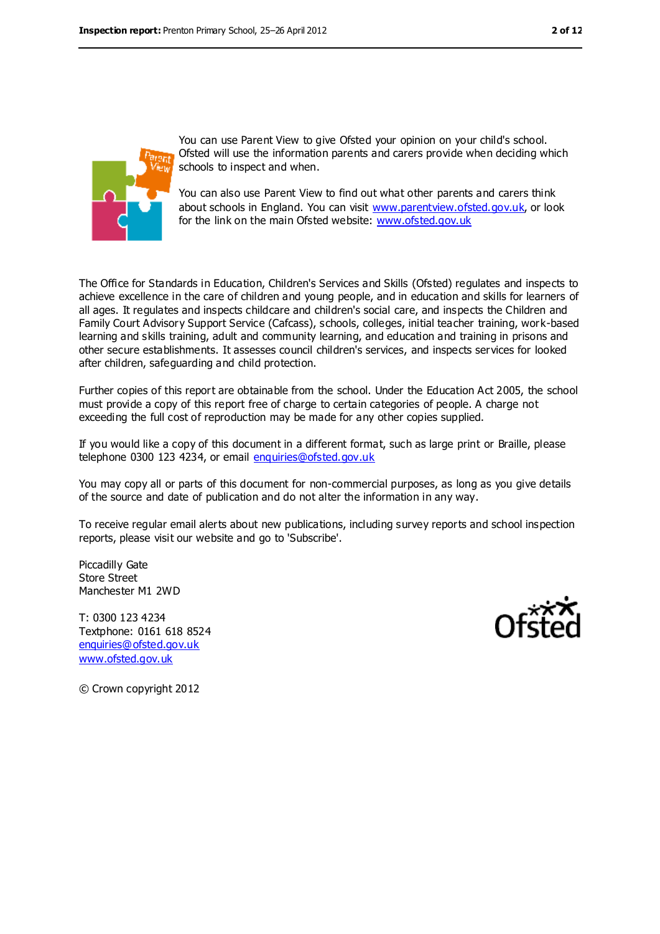

You can use Parent View to give Ofsted your opinion on your child's school. Ofsted will use the information parents and carers provide when deciding which schools to inspect and when.

You can also use Parent View to find out what other parents and carers think about schools in England. You can visit [www.parentview.ofsted.gov.uk,](file:///C:/Users/ggleaden/Local%20Settings/Local%20Settings/Temporary%20Internet%20Files/Content.IE5/FHMZ5OAS/www.parentview.ofsted.gov.uk) or look for the link on the main Ofsted website: [www.ofsted.gov.uk](file:///C:/Users/ggleaden/Local%20Settings/Local%20Settings/Temporary%20Internet%20Files/Content.IE5/FHMZ5OAS/www.ofsted.gov.uk)

The Office for Standards in Education, Children's Services and Skills (Ofsted) regulates and inspects to achieve excellence in the care of children and young people, and in education and skills for learners of all ages. It regulates and inspects childcare and children's social care, and inspects the Children and Family Court Advisory Support Service (Cafcass), schools, colleges, initial teacher training, work-based learning and skills training, adult and community learning, and education and training in prisons and other secure establishments. It assesses council children's services, and inspects services for looked after children, safeguarding and child protection.

Further copies of this report are obtainable from the school. Under the Education Act 2005, the school must provide a copy of this report free of charge to certain categories of people. A charge not exceeding the full cost of reproduction may be made for any other copies supplied.

If you would like a copy of this document in a different format, such as large print or Braille, please telephone 0300 123 4234, or email [enquiries@ofsted.gov.uk](mailto:enquiries@ofsted.gov.uk)

You may copy all or parts of this document for non-commercial purposes, as long as you give details of the source and date of publication and do not alter the information in any way.

To receive regular email alerts about new publications, including survey reports and school inspection reports, please visit our website and go to 'Subscribe'.

Piccadilly Gate Store Street Manchester M1 2WD

T: 0300 123 4234 Textphone: 0161 618 8524 [enquiries@ofsted.gov.uk](mailto:enquiries@ofsted.gov.uk) [www.ofsted.gov.uk](http://www.ofsted.gov.uk/)



© Crown copyright 2012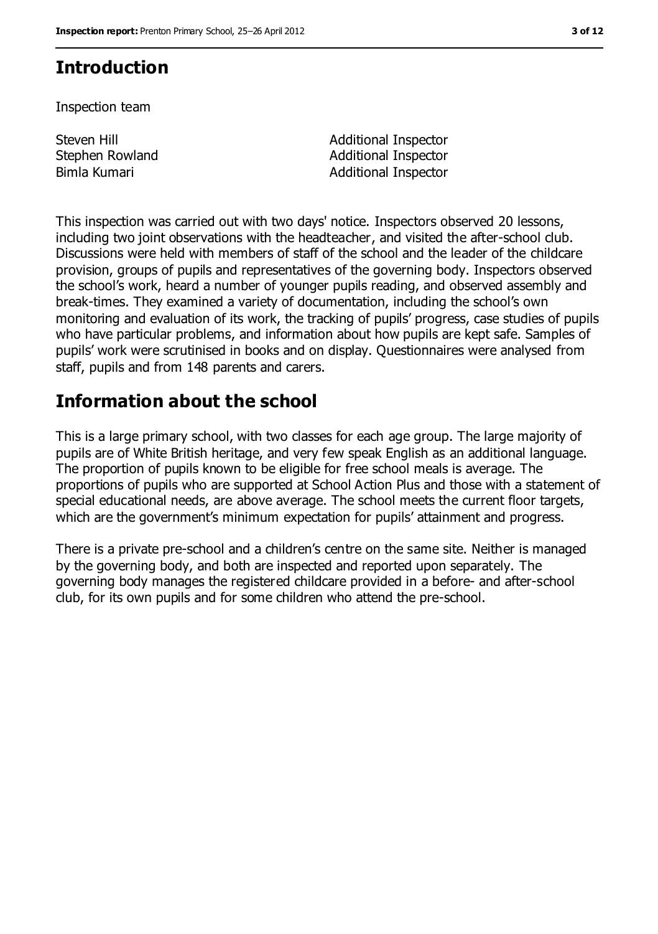# **Introduction**

Inspection team

Steven Hill Stephen Rowland

Additional Inspector Additional Inspector Bimla Kumari **Additional Inspector Additional Inspector** 

This inspection was carried out with two days' notice. Inspectors observed 20 lessons, including two joint observations with the headteacher, and visited the after-school club. Discussions were held with members of staff of the school and the leader of the childcare provision, groups of pupils and representatives of the governing body. Inspectors observed the school's work, heard a number of younger pupils reading, and observed assembly and break-times. They examined a variety of documentation, including the school's own monitoring and evaluation of its work, the tracking of pupils' progress, case studies of pupils who have particular problems, and information about how pupils are kept safe. Samples of pupils' work were scrutinised in books and on display. Questionnaires were analysed from staff, pupils and from 148 parents and carers.

# **Information about the school**

This is a large primary school, with two classes for each age group. The large majority of pupils are of White British heritage, and very few speak English as an additional language. The proportion of pupils known to be eligible for free school meals is average. The proportions of pupils who are supported at School Action Plus and those with a statement of special educational needs, are above average. The school meets the current floor targets, which are the government's minimum expectation for pupils' attainment and progress.

There is a private pre-school and a children's centre on the same site. Neither is managed by the governing body, and both are inspected and reported upon separately. The governing body manages the registered childcare provided in a before- and after-school club, for its own pupils and for some children who attend the pre-school.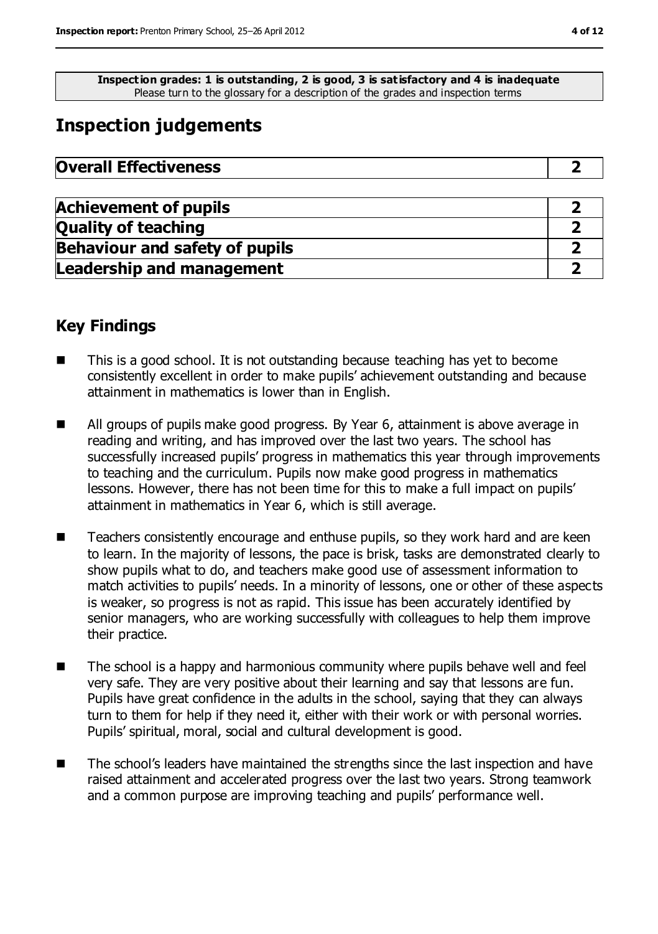**Inspection grades: 1 is outstanding, 2 is good, 3 is satisfactory and 4 is inadequate** Please turn to the glossary for a description of the grades and inspection terms

# **Inspection judgements**

| <b>Overall Effectiveness</b> |  |
|------------------------------|--|
|------------------------------|--|

| <b>Achievement of pupils</b>          |  |
|---------------------------------------|--|
| <b>Quality of teaching</b>            |  |
| <b>Behaviour and safety of pupils</b> |  |
| <b>Leadership and management</b>      |  |

### **Key Findings**

- This is a good school. It is not outstanding because teaching has yet to become consistently excellent in order to make pupils' achievement outstanding and because attainment in mathematics is lower than in English.
- **All groups of pupils make good progress. By Year 6, attainment is above average in** reading and writing, and has improved over the last two years. The school has successfully increased pupils' progress in mathematics this year through improvements to teaching and the curriculum. Pupils now make good progress in mathematics lessons. However, there has not been time for this to make a full impact on pupils' attainment in mathematics in Year 6, which is still average.
- Teachers consistently encourage and enthuse pupils, so they work hard and are keen to learn. In the majority of lessons, the pace is brisk, tasks are demonstrated clearly to show pupils what to do, and teachers make good use of assessment information to match activities to pupils' needs. In a minority of lessons, one or other of these aspects is weaker, so progress is not as rapid. This issue has been accurately identified by senior managers, who are working successfully with colleagues to help them improve their practice.
- The school is a happy and harmonious community where pupils behave well and feel very safe. They are very positive about their learning and say that lessons are fun. Pupils have great confidence in the adults in the school, saying that they can always turn to them for help if they need it, either with their work or with personal worries. Pupils' spiritual, moral, social and cultural development is good.
- The school's leaders have maintained the strengths since the last inspection and have raised attainment and accelerated progress over the last two years. Strong teamwork and a common purpose are improving teaching and pupils' performance well.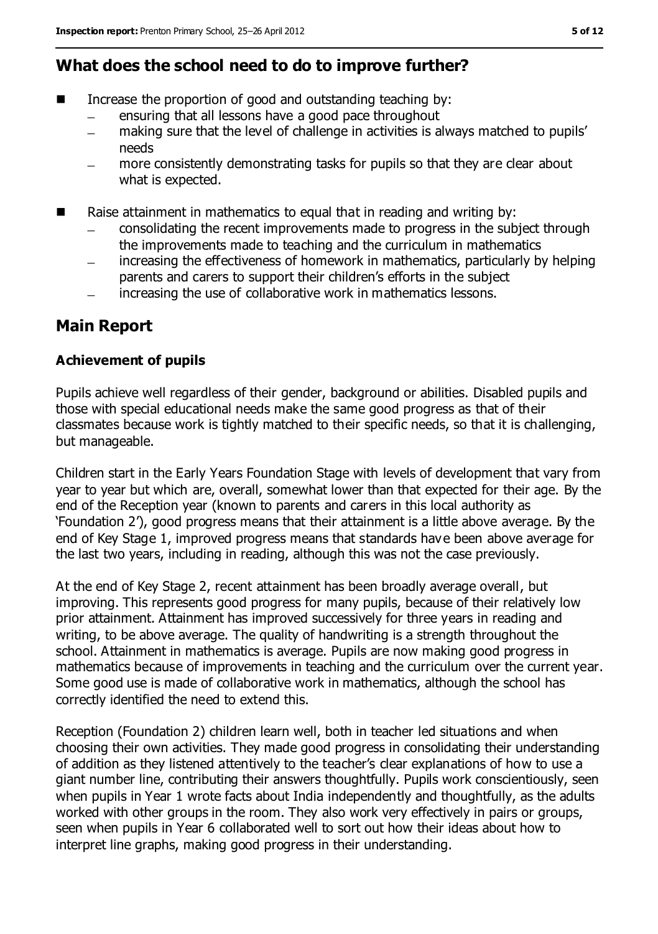### **What does the school need to do to improve further?**

- Increase the proportion of good and outstanding teaching by:
	- ensuring that all lessons have a good pace throughout
	- making sure that the level of challenge in activities is always matched to pupils'  $\equiv$ needs
	- more consistently demonstrating tasks for pupils so that they are clear about what is expected.
- Raise attainment in mathematics to equal that in reading and writing by:
	- consolidating the recent improvements made to progress in the subject through the improvements made to teaching and the curriculum in mathematics
	- increasing the effectiveness of homework in mathematics, particularly by helping parents and carers to support their children's efforts in the subject
	- increasing the use of collaborative work in mathematics lessons.  $\equiv$

### **Main Report**

#### **Achievement of pupils**

Pupils achieve well regardless of their gender, background or abilities. Disabled pupils and those with special educational needs make the same good progress as that of their classmates because work is tightly matched to their specific needs, so that it is challenging, but manageable.

Children start in the Early Years Foundation Stage with levels of development that vary from year to year but which are, overall, somewhat lower than that expected for their age. By the end of the Reception year (known to parents and carers in this local authority as 'Foundation 2'), good progress means that their attainment is a little above average. By the end of Key Stage 1, improved progress means that standards have been above average for the last two years, including in reading, although this was not the case previously.

At the end of Key Stage 2, recent attainment has been broadly average overall, but improving. This represents good progress for many pupils, because of their relatively low prior attainment. Attainment has improved successively for three years in reading and writing, to be above average. The quality of handwriting is a strength throughout the school. Attainment in mathematics is average. Pupils are now making good progress in mathematics because of improvements in teaching and the curriculum over the current year. Some good use is made of collaborative work in mathematics, although the school has correctly identified the need to extend this.

Reception (Foundation 2) children learn well, both in teacher led situations and when choosing their own activities. They made good progress in consolidating their understanding of addition as they listened attentively to the teacher's clear explanations of how to use a giant number line, contributing their answers thoughtfully. Pupils work conscientiously, seen when pupils in Year 1 wrote facts about India independently and thoughtfully, as the adults worked with other groups in the room. They also work very effectively in pairs or groups, seen when pupils in Year 6 collaborated well to sort out how their ideas about how to interpret line graphs, making good progress in their understanding.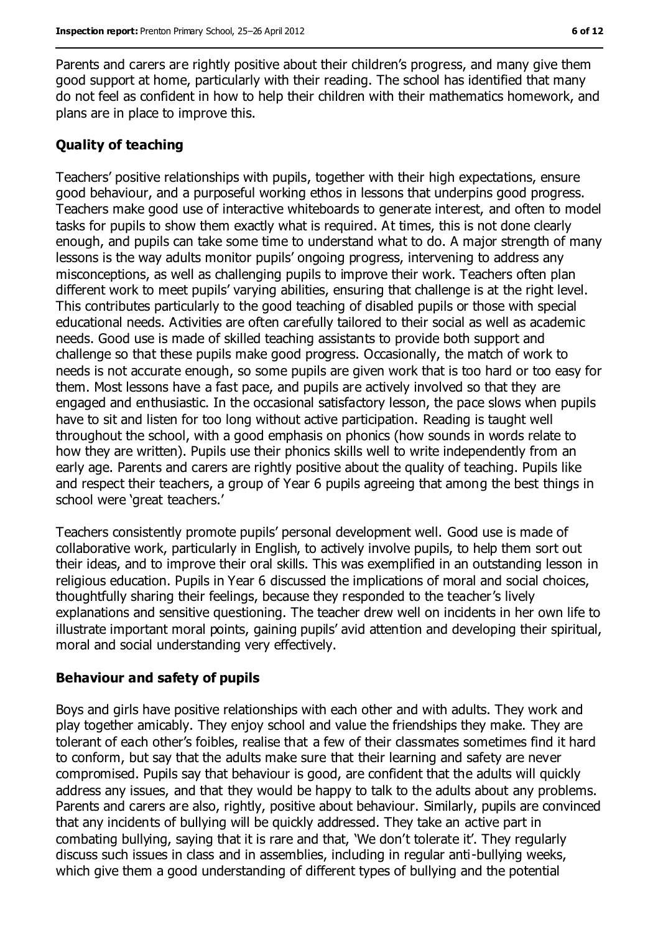Parents and carers are rightly positive about their children's progress, and many give them good support at home, particularly with their reading. The school has identified that many do not feel as confident in how to help their children with their mathematics homework, and plans are in place to improve this.

#### **Quality of teaching**

Teachers' positive relationships with pupils, together with their high expectations, ensure good behaviour, and a purposeful working ethos in lessons that underpins good progress. Teachers make good use of interactive whiteboards to generate interest, and often to model tasks for pupils to show them exactly what is required. At times, this is not done clearly enough, and pupils can take some time to understand what to do. A major strength of many lessons is the way adults monitor pupils' ongoing progress, intervening to address any misconceptions, as well as challenging pupils to improve their work. Teachers often plan different work to meet pupils' varying abilities, ensuring that challenge is at the right level. This contributes particularly to the good teaching of disabled pupils or those with special educational needs. Activities are often carefully tailored to their social as well as academic needs. Good use is made of skilled teaching assistants to provide both support and challenge so that these pupils make good progress. Occasionally, the match of work to needs is not accurate enough, so some pupils are given work that is too hard or too easy for them. Most lessons have a fast pace, and pupils are actively involved so that they are engaged and enthusiastic. In the occasional satisfactory lesson, the pace slows when pupils have to sit and listen for too long without active participation. Reading is taught well throughout the school, with a good emphasis on phonics (how sounds in words relate to how they are written). Pupils use their phonics skills well to write independently from an early age. Parents and carers are rightly positive about the quality of teaching. Pupils like and respect their teachers, a group of Year 6 pupils agreeing that among the best things in school were 'great teachers.'

Teachers consistently promote pupils' personal development well. Good use is made of collaborative work, particularly in English, to actively involve pupils, to help them sort out their ideas, and to improve their oral skills. This was exemplified in an outstanding lesson in religious education. Pupils in Year 6 discussed the implications of moral and social choices, thoughtfully sharing their feelings, because they responded to the teacher's lively explanations and sensitive questioning. The teacher drew well on incidents in her own life to illustrate important moral points, gaining pupils' avid attention and developing their spiritual, moral and social understanding very effectively.

#### **Behaviour and safety of pupils**

Boys and girls have positive relationships with each other and with adults. They work and play together amicably. They enjoy school and value the friendships they make. They are tolerant of each other's foibles, realise that a few of their classmates sometimes find it hard to conform, but say that the adults make sure that their learning and safety are never compromised. Pupils say that behaviour is good, are confident that the adults will quickly address any issues, and that they would be happy to talk to the adults about any problems. Parents and carers are also, rightly, positive about behaviour. Similarly, pupils are convinced that any incidents of bullying will be quickly addressed. They take an active part in combating bullying, saying that it is rare and that, 'We don't tolerate it'. They regularly discuss such issues in class and in assemblies, including in regular anti-bullying weeks, which give them a good understanding of different types of bullying and the potential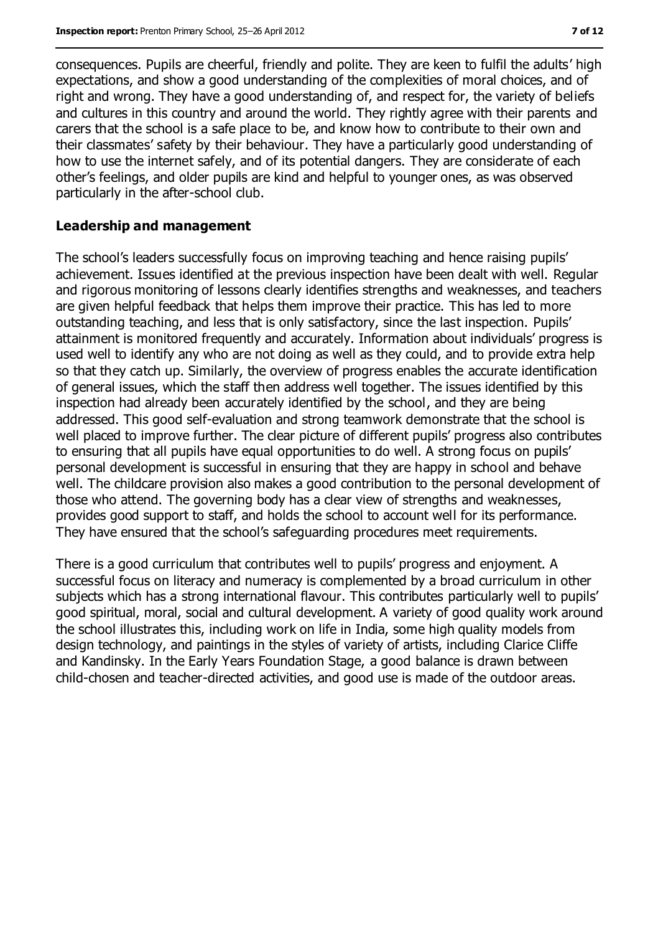consequences. Pupils are cheerful, friendly and polite. They are keen to fulfil the adults' high expectations, and show a good understanding of the complexities of moral choices, and of right and wrong. They have a good understanding of, and respect for, the variety of beliefs and cultures in this country and around the world. They rightly agree with their parents and carers that the school is a safe place to be, and know how to contribute to their own and their classmates' safety by their behaviour. They have a particularly good understanding of how to use the internet safely, and of its potential dangers. They are considerate of each other's feelings, and older pupils are kind and helpful to younger ones, as was observed particularly in the after-school club.

#### **Leadership and management**

The school's leaders successfully focus on improving teaching and hence raising pupils' achievement. Issues identified at the previous inspection have been dealt with well. Regular and rigorous monitoring of lessons clearly identifies strengths and weaknesses, and teachers are given helpful feedback that helps them improve their practice. This has led to more outstanding teaching, and less that is only satisfactory, since the last inspection. Pupils' attainment is monitored frequently and accurately. Information about individuals' progress is used well to identify any who are not doing as well as they could, and to provide extra help so that they catch up. Similarly, the overview of progress enables the accurate identification of general issues, which the staff then address well together. The issues identified by this inspection had already been accurately identified by the school, and they are being addressed. This good self-evaluation and strong teamwork demonstrate that the school is well placed to improve further. The clear picture of different pupils' progress also contributes to ensuring that all pupils have equal opportunities to do well. A strong focus on pupils' personal development is successful in ensuring that they are happy in school and behave well. The childcare provision also makes a good contribution to the personal development of those who attend. The governing body has a clear view of strengths and weaknesses, provides good support to staff, and holds the school to account well for its performance. They have ensured that the school's safeguarding procedures meet requirements.

There is a good curriculum that contributes well to pupils' progress and enjoyment. A successful focus on literacy and numeracy is complemented by a broad curriculum in other subjects which has a strong international flavour. This contributes particularly well to pupils' good spiritual, moral, social and cultural development. A variety of good quality work around the school illustrates this, including work on life in India, some high quality models from design technology, and paintings in the styles of variety of artists, including Clarice Cliffe and Kandinsky. In the Early Years Foundation Stage, a good balance is drawn between child-chosen and teacher-directed activities, and good use is made of the outdoor areas.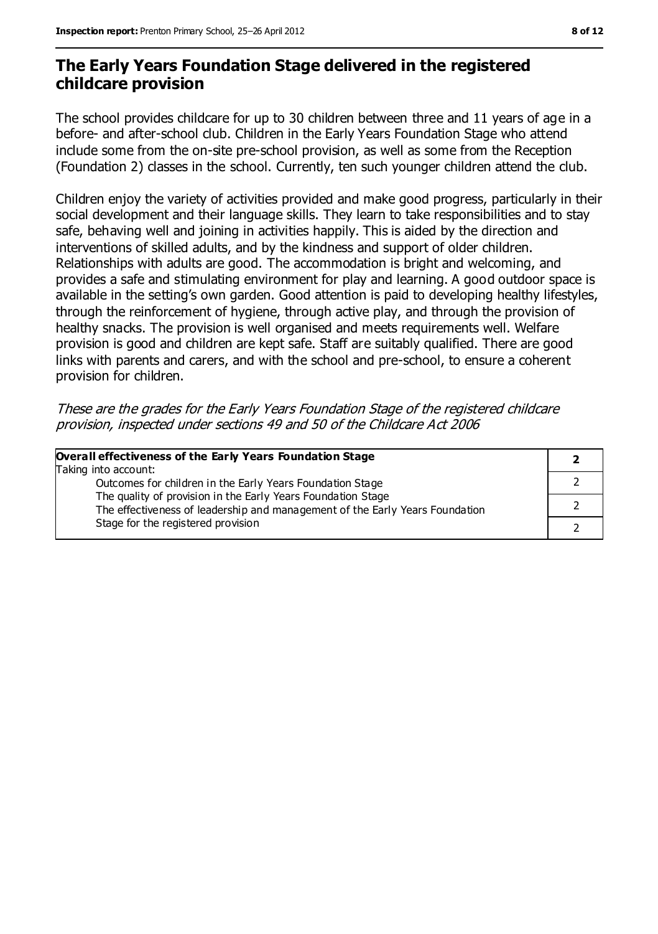### **The Early Years Foundation Stage delivered in the registered childcare provision**

The school provides childcare for up to 30 children between three and 11 years of age in a before- and after-school club. Children in the Early Years Foundation Stage who attend include some from the on-site pre-school provision, as well as some from the Reception (Foundation 2) classes in the school. Currently, ten such younger children attend the club.

Children enjoy the variety of activities provided and make good progress, particularly in their social development and their language skills. They learn to take responsibilities and to stay safe, behaving well and joining in activities happily. This is aided by the direction and interventions of skilled adults, and by the kindness and support of older children. Relationships with adults are good. The accommodation is bright and welcoming, and provides a safe and stimulating environment for play and learning. A good outdoor space is available in the setting's own garden. Good attention is paid to developing healthy lifestyles, through the reinforcement of hygiene, through active play, and through the provision of healthy snacks. The provision is well organised and meets requirements well. Welfare provision is good and children are kept safe. Staff are suitably qualified. There are good links with parents and carers, and with the school and pre-school, to ensure a coherent provision for children.

These are the grades for the Early Years Foundation Stage of the registered childcare provision, inspected under sections 49 and 50 of the Childcare Act 2006

| Overall effectiveness of the Early Years Foundation Stage                                                                                    |  |
|----------------------------------------------------------------------------------------------------------------------------------------------|--|
| Taking into account:                                                                                                                         |  |
| Outcomes for children in the Early Years Foundation Stage                                                                                    |  |
| The quality of provision in the Early Years Foundation Stage<br>The effectiveness of leadership and management of the Early Years Foundation |  |
| Stage for the registered provision                                                                                                           |  |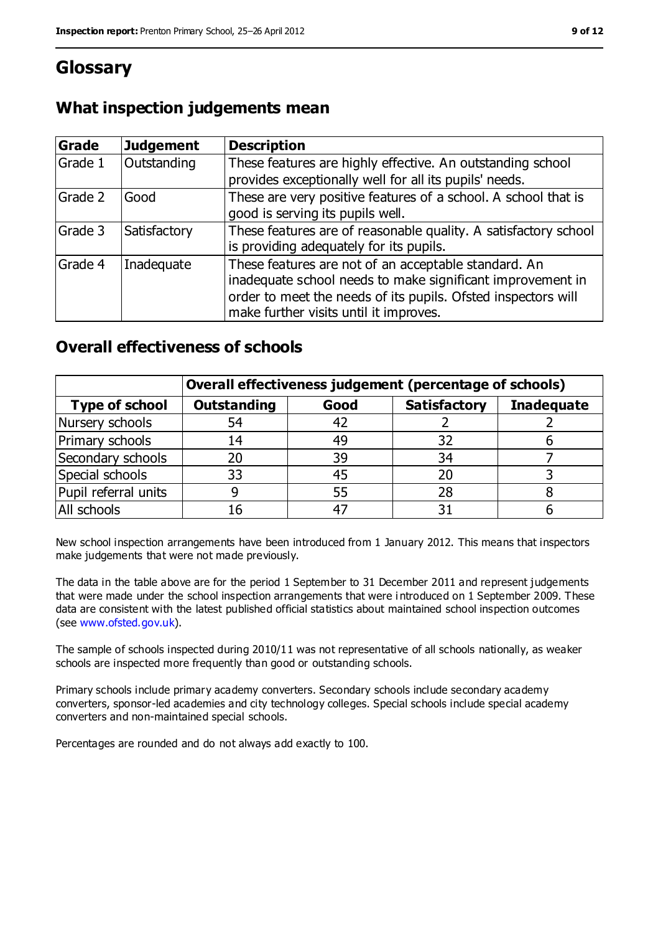## **Glossary**

| Grade   | <b>Judgement</b> | <b>Description</b>                                                                                                                                                                                                            |
|---------|------------------|-------------------------------------------------------------------------------------------------------------------------------------------------------------------------------------------------------------------------------|
| Grade 1 | Outstanding      | These features are highly effective. An outstanding school<br>provides exceptionally well for all its pupils' needs.                                                                                                          |
| Grade 2 | Good             | These are very positive features of a school. A school that is<br>good is serving its pupils well.                                                                                                                            |
| Grade 3 | Satisfactory     | These features are of reasonable quality. A satisfactory school<br>is providing adequately for its pupils.                                                                                                                    |
| Grade 4 | Inadequate       | These features are not of an acceptable standard. An<br>inadequate school needs to make significant improvement in<br>order to meet the needs of its pupils. Ofsted inspectors will<br>make further visits until it improves. |

### **Overall effectiveness of schools**

|                       | Overall effectiveness judgement (percentage of schools) |      |                     |                   |
|-----------------------|---------------------------------------------------------|------|---------------------|-------------------|
| <b>Type of school</b> | <b>Outstanding</b>                                      | Good | <b>Satisfactory</b> | <b>Inadequate</b> |
| Nursery schools       | 54                                                      | 42   |                     |                   |
| Primary schools       | 14                                                      | 49   | 32                  |                   |
| Secondary schools     | 20                                                      | 39   | 34                  |                   |
| Special schools       | 33                                                      | 45   | 20                  |                   |
| Pupil referral units  | 9                                                       | 55   | 28                  |                   |
| All schools           | 16                                                      |      |                     |                   |

New school inspection arrangements have been introduced from 1 January 2012. This means that inspectors make judgements that were not made previously.

The data in the table above are for the period 1 September to 31 December 2011 and represent judgements that were made under the school inspection arrangements that were i ntroduced on 1 September 2009. These data are consistent with the latest published official statistics about maintained school inspection outcomes (see [www.ofsted.gov.uk\)](file:///C:/Users/ggleaden/Local%20Settings/Local%20Settings/Temporary%20Internet%20Files/Content.IE5/FHMZ5OAS/www.ofsted.gov.uk).

The sample of schools inspected during 2010/11 was not representative of all schools nationally, as weaker schools are inspected more frequently than good or outstanding schools.

Primary schools include primary academy converters. Secondary schools include secondary academy converters, sponsor-led academies and city technology colleges. Special schools include special academy converters and non-maintained special schools.

Percentages are rounded and do not always add exactly to 100.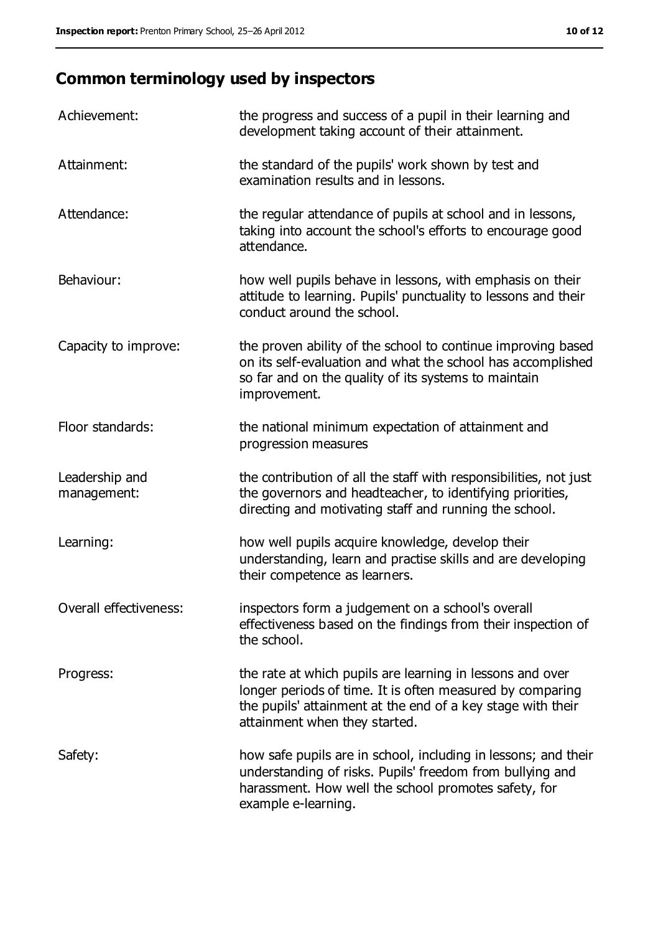# **Common terminology used by inspectors**

| Achievement:                  | the progress and success of a pupil in their learning and<br>development taking account of their attainment.                                                                                                           |
|-------------------------------|------------------------------------------------------------------------------------------------------------------------------------------------------------------------------------------------------------------------|
| Attainment:                   | the standard of the pupils' work shown by test and<br>examination results and in lessons.                                                                                                                              |
| Attendance:                   | the regular attendance of pupils at school and in lessons,<br>taking into account the school's efforts to encourage good<br>attendance.                                                                                |
| Behaviour:                    | how well pupils behave in lessons, with emphasis on their<br>attitude to learning. Pupils' punctuality to lessons and their<br>conduct around the school.                                                              |
| Capacity to improve:          | the proven ability of the school to continue improving based<br>on its self-evaluation and what the school has accomplished<br>so far and on the quality of its systems to maintain<br>improvement.                    |
| Floor standards:              | the national minimum expectation of attainment and<br>progression measures                                                                                                                                             |
| Leadership and<br>management: | the contribution of all the staff with responsibilities, not just<br>the governors and headteacher, to identifying priorities,<br>directing and motivating staff and running the school.                               |
| Learning:                     | how well pupils acquire knowledge, develop their<br>understanding, learn and practise skills and are developing<br>their competence as learners.                                                                       |
| Overall effectiveness:        | inspectors form a judgement on a school's overall<br>effectiveness based on the findings from their inspection of<br>the school.                                                                                       |
| Progress:                     | the rate at which pupils are learning in lessons and over<br>longer periods of time. It is often measured by comparing<br>the pupils' attainment at the end of a key stage with their<br>attainment when they started. |
| Safety:                       | how safe pupils are in school, including in lessons; and their<br>understanding of risks. Pupils' freedom from bullying and<br>harassment. How well the school promotes safety, for<br>example e-learning.             |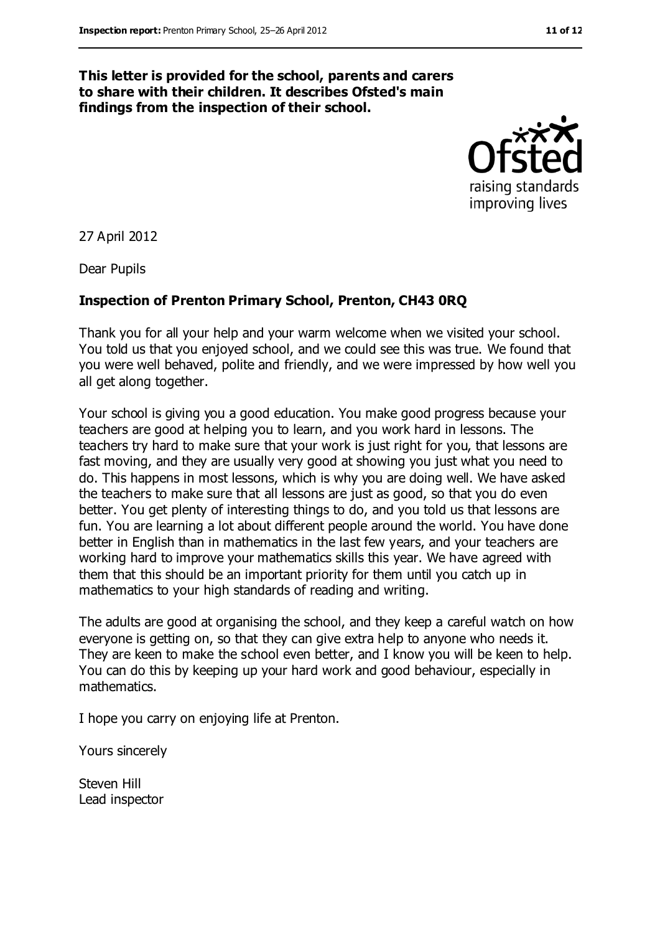#### **This letter is provided for the school, parents and carers to share with their children. It describes Ofsted's main findings from the inspection of their school.**



27 April 2012

Dear Pupils

#### **Inspection of Prenton Primary School, Prenton, CH43 0RQ**

Thank you for all your help and your warm welcome when we visited your school. You told us that you enjoyed school, and we could see this was true. We found that you were well behaved, polite and friendly, and we were impressed by how well you all get along together.

Your school is giving you a good education. You make good progress because your teachers are good at helping you to learn, and you work hard in lessons. The teachers try hard to make sure that your work is just right for you, that lessons are fast moving, and they are usually very good at showing you just what you need to do. This happens in most lessons, which is why you are doing well. We have asked the teachers to make sure that all lessons are just as good, so that you do even better. You get plenty of interesting things to do, and you told us that lessons are fun. You are learning a lot about different people around the world. You have done better in English than in mathematics in the last few years, and your teachers are working hard to improve your mathematics skills this year. We have agreed with them that this should be an important priority for them until you catch up in mathematics to your high standards of reading and writing.

The adults are good at organising the school, and they keep a careful watch on how everyone is getting on, so that they can give extra help to anyone who needs it. They are keen to make the school even better, and I know you will be keen to help. You can do this by keeping up your hard work and good behaviour, especially in mathematics.

I hope you carry on enjoying life at Prenton.

Yours sincerely

Steven Hill Lead inspector